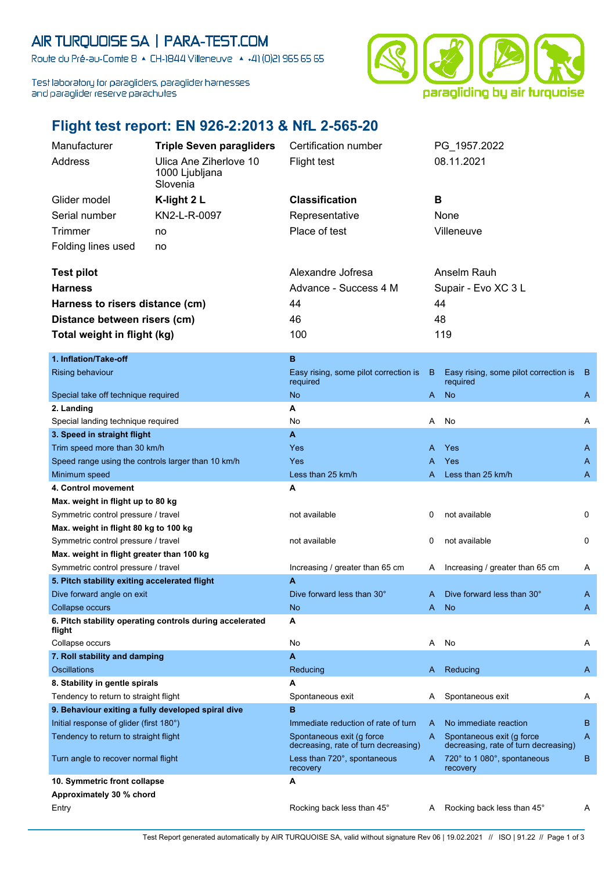## AIR TURQUOISE SA | PARA-TEST.COM

Route du Pré-au-Comte 8 & CH-1844 Villeneuve | 4 +41 (0)21 965 65 65

Test laboratory for paragliders, paraglider harnesses and paraglider reserve parachutes



## **Flight test report: EN 926-2:2013 & NfL 2-565-20**

|                                                   | Manufacturer          | <b>Triple Seven paragliders</b>                      | Certification number                                | PG 1957.2022                                        |  |  |  |
|---------------------------------------------------|-----------------------|------------------------------------------------------|-----------------------------------------------------|-----------------------------------------------------|--|--|--|
|                                                   | Address               | Ulica Ane Ziherlove 10<br>1000 Ljubljana<br>Slovenia | Flight test                                         | 08.11.2021                                          |  |  |  |
|                                                   | Glider model          | K-light $2L$                                         | <b>Classification</b>                               | B                                                   |  |  |  |
|                                                   | Serial number         | KN2-L-R-0097                                         | Representative                                      | None                                                |  |  |  |
|                                                   | Trimmer               | no                                                   | Place of test                                       | Villeneuve                                          |  |  |  |
|                                                   | Folding lines used    | no                                                   |                                                     |                                                     |  |  |  |
|                                                   | <b>Test pilot</b>     |                                                      | Alexandre Jofresa                                   | Anselm Rauh                                         |  |  |  |
| <b>Harness</b><br>Harness to risers distance (cm) |                       |                                                      | Advance - Success 4 M                               | Supair - Evo XC 3 L                                 |  |  |  |
|                                                   |                       | 44                                                   | 44                                                  |                                                     |  |  |  |
| Distance between risers (cm)                      |                       |                                                      | 46                                                  | 48                                                  |  |  |  |
| Total weight in flight (kg)                       |                       | 100                                                  | 119                                                 |                                                     |  |  |  |
|                                                   |                       |                                                      |                                                     |                                                     |  |  |  |
|                                                   | 1. Inflation/Take-off |                                                      | B                                                   |                                                     |  |  |  |
|                                                   | Rising behaviour      |                                                      | Easy rising, some pilot correction is B<br>required | Easy rising, some pilot correction is B<br>required |  |  |  |
| Canadal teles off techniques assumed              |                       |                                                      | $A = kL$                                            |                                                     |  |  |  |

|                                                                    | required                                                          |    | required                                                          |              |
|--------------------------------------------------------------------|-------------------------------------------------------------------|----|-------------------------------------------------------------------|--------------|
| Special take off technique required                                | <b>No</b>                                                         | A  | <b>No</b>                                                         | A            |
| 2. Landing                                                         | A                                                                 |    |                                                                   |              |
| Special landing technique required                                 | No                                                                | A  | No                                                                | A            |
| 3. Speed in straight flight                                        | A                                                                 |    |                                                                   |              |
| Trim speed more than 30 km/h                                       | Yes                                                               | A  | Yes                                                               | A            |
| Speed range using the controls larger than 10 km/h                 | Yes                                                               | A  | Yes                                                               | A            |
| Minimum speed                                                      | Less than 25 km/h                                                 | А  | Less than 25 km/h                                                 | A            |
| 4. Control movement                                                | A                                                                 |    |                                                                   |              |
| Max. weight in flight up to 80 kg                                  |                                                                   |    |                                                                   |              |
| Symmetric control pressure / travel                                | not available                                                     | 0  | not available                                                     | 0            |
| Max. weight in flight 80 kg to 100 kg                              |                                                                   |    |                                                                   |              |
| Symmetric control pressure / travel                                | not available                                                     | 0  | not available                                                     | $\mathbf{0}$ |
| Max. weight in flight greater than 100 kg                          |                                                                   |    |                                                                   |              |
| Symmetric control pressure / travel                                | Increasing / greater than 65 cm                                   | A  | Increasing / greater than 65 cm                                   | A            |
| 5. Pitch stability exiting accelerated flight                      | A                                                                 |    |                                                                   |              |
| Dive forward angle on exit                                         | Dive forward less than 30°                                        | A  | Dive forward less than 30°                                        | A            |
| Collapse occurs                                                    | <b>No</b>                                                         | A  | <b>No</b>                                                         | A            |
| 6. Pitch stability operating controls during accelerated<br>flight | A                                                                 |    |                                                                   |              |
| Collapse occurs                                                    | No                                                                | A  | No                                                                | Α            |
| 7. Roll stability and damping                                      | A                                                                 |    |                                                                   |              |
| <b>Oscillations</b>                                                | Reducing                                                          | A. | Reducing                                                          | A            |
| 8. Stability in gentle spirals                                     | A                                                                 |    |                                                                   |              |
| Tendency to return to straight flight                              | Spontaneous exit                                                  | A  | Spontaneous exit                                                  | A            |
| 9. Behaviour exiting a fully developed spiral dive                 | B                                                                 |    |                                                                   |              |
| Initial response of glider (first 180°)                            | Immediate reduction of rate of turn                               | A  | No immediate reaction                                             | в            |
| Tendency to return to straight flight                              | Spontaneous exit (g force<br>decreasing, rate of turn decreasing) | A  | Spontaneous exit (g force<br>decreasing, rate of turn decreasing) | A            |
| Turn angle to recover normal flight                                | Less than 720°, spontaneous<br>recovery                           | A. | 720° to 1 080°, spontaneous<br>recovery                           | B            |
| 10. Symmetric front collapse                                       | A                                                                 |    |                                                                   |              |
| Approximately 30 % chord                                           |                                                                   |    |                                                                   |              |
| Entry                                                              | Rocking back less than 45°                                        | A  | Rocking back less than 45°                                        | A            |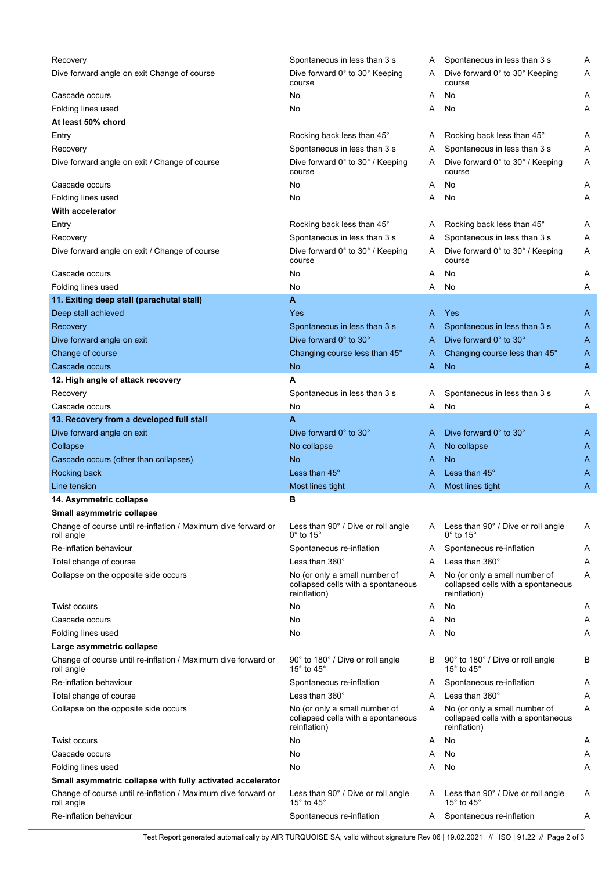| Recovery                                                                    | Spontaneous in less than 3 s                                                        | A | Spontaneous in less than 3 s                                                        | Α |
|-----------------------------------------------------------------------------|-------------------------------------------------------------------------------------|---|-------------------------------------------------------------------------------------|---|
| Dive forward angle on exit Change of course                                 | Dive forward 0° to 30° Keeping<br>course                                            | A | Dive forward 0° to 30° Keeping<br>course                                            | Α |
| Cascade occurs                                                              | No                                                                                  | Α | No                                                                                  | Α |
| Folding lines used                                                          | No                                                                                  | Α | No                                                                                  | Α |
| At least 50% chord                                                          |                                                                                     |   |                                                                                     |   |
| Entry                                                                       | Rocking back less than 45°                                                          | Α | Rocking back less than 45°                                                          | Α |
| Recovery                                                                    | Spontaneous in less than 3 s                                                        | Α | Spontaneous in less than 3 s                                                        | Α |
| Dive forward angle on exit / Change of course                               | Dive forward 0° to 30° / Keeping<br>course                                          | A | Dive forward 0° to 30° / Keeping<br>course                                          | Α |
| Cascade occurs                                                              | No                                                                                  | Α | No                                                                                  | Α |
| Folding lines used                                                          | No                                                                                  | Α | No                                                                                  | Α |
| <b>With accelerator</b>                                                     |                                                                                     |   |                                                                                     |   |
| Entry                                                                       | Rocking back less than 45°                                                          | A | Rocking back less than 45°                                                          | Α |
| Recovery                                                                    | Spontaneous in less than 3 s                                                        | Α | Spontaneous in less than 3 s                                                        | Α |
| Dive forward angle on exit / Change of course                               | Dive forward 0° to 30° / Keeping<br>course                                          | A | Dive forward 0° to 30° / Keeping<br>course                                          | Α |
| Cascade occurs                                                              | No                                                                                  | Α | No                                                                                  | Α |
| Folding lines used                                                          | No                                                                                  | Α | No                                                                                  | Α |
| 11. Exiting deep stall (parachutal stall)                                   | A                                                                                   |   |                                                                                     |   |
| Deep stall achieved                                                         | Yes                                                                                 | A | <b>Yes</b>                                                                          | A |
| Recovery                                                                    | Spontaneous in less than 3 s                                                        | A | Spontaneous in less than 3 s                                                        | A |
| Dive forward angle on exit                                                  | Dive forward 0° to 30°                                                              | A | Dive forward 0° to 30°                                                              | A |
| Change of course                                                            | Changing course less than 45°                                                       | A | Changing course less than 45°                                                       | A |
| Cascade occurs                                                              | <b>No</b>                                                                           | Α | <b>No</b>                                                                           | A |
|                                                                             | A                                                                                   |   |                                                                                     |   |
| 12. High angle of attack recovery                                           |                                                                                     |   |                                                                                     |   |
| Recovery                                                                    | Spontaneous in less than 3 s                                                        | Α | Spontaneous in less than 3 s                                                        | Α |
| Cascade occurs                                                              | No                                                                                  | Α | No                                                                                  | Α |
| 13. Recovery from a developed full stall                                    | A                                                                                   |   |                                                                                     |   |
| Dive forward angle on exit                                                  | Dive forward 0° to 30°                                                              | A | Dive forward 0° to 30°                                                              | A |
| Collapse                                                                    | No collapse                                                                         | A | No collapse                                                                         | A |
| Cascade occurs (other than collapses)                                       | <b>No</b>                                                                           | A | <b>No</b>                                                                           | A |
| Rocking back                                                                | Less than 45°                                                                       | A | Less than 45°                                                                       | A |
| Line tension                                                                | Most lines tight                                                                    | A | Most lines tight                                                                    | Α |
| 14. Asymmetric collapse                                                     | в                                                                                   |   |                                                                                     |   |
| Small asymmetric collapse                                                   |                                                                                     |   |                                                                                     |   |
| Change of course until re-inflation / Maximum dive forward or<br>roll angle | Less than 90° / Dive or roll angle<br>$0^\circ$ to 15 $^\circ$                      |   | A Less than 90° / Dive or roll angle<br>$0^\circ$ to 15 $^\circ$                    | Α |
| Re-inflation behaviour                                                      | Spontaneous re-inflation                                                            | A | Spontaneous re-inflation                                                            | Α |
| Total change of course                                                      | Less than $360^\circ$                                                               | Α | Less than 360°                                                                      | Α |
| Collapse on the opposite side occurs                                        | No (or only a small number of<br>collapsed cells with a spontaneous<br>reinflation) | A | No (or only a small number of<br>collapsed cells with a spontaneous<br>reinflation) | Α |
| Twist occurs                                                                | No                                                                                  | A | No                                                                                  | A |
| Cascade occurs                                                              | No                                                                                  | Α | No                                                                                  | A |
| Folding lines used                                                          | No                                                                                  | Α | No                                                                                  | Α |
| Large asymmetric collapse                                                   |                                                                                     |   |                                                                                     |   |
| Change of course until re-inflation / Maximum dive forward or<br>roll angle | 90° to 180° / Dive or roll angle<br>15 $^{\circ}$ to 45 $^{\circ}$                  | B | 90° to 180° / Dive or roll angle<br>15 $^{\circ}$ to 45 $^{\circ}$                  | В |
| Re-inflation behaviour                                                      | Spontaneous re-inflation                                                            | A | Spontaneous re-inflation                                                            | A |
| Total change of course                                                      | Less than $360^\circ$                                                               | A | Less than 360°                                                                      | Α |
| Collapse on the opposite side occurs                                        | No (or only a small number of<br>collapsed cells with a spontaneous<br>reinflation) | A | No (or only a small number of<br>collapsed cells with a spontaneous<br>reinflation) | Α |
| Twist occurs                                                                | No                                                                                  | A | No                                                                                  | Α |
| Cascade occurs                                                              | No                                                                                  | Α | No                                                                                  | A |
| Folding lines used                                                          | No                                                                                  | Α | No                                                                                  | Α |
| Small asymmetric collapse with fully activated accelerator                  |                                                                                     |   |                                                                                     |   |
| Change of course until re-inflation / Maximum dive forward or<br>roll angle | Less than 90° / Dive or roll angle<br>15 $\degree$ to 45 $\degree$                  | A | Less than 90° / Dive or roll angle<br>15° to 45°                                    | Α |
| Re-inflation behaviour                                                      | Spontaneous re-inflation                                                            | A | Spontaneous re-inflation                                                            | Α |